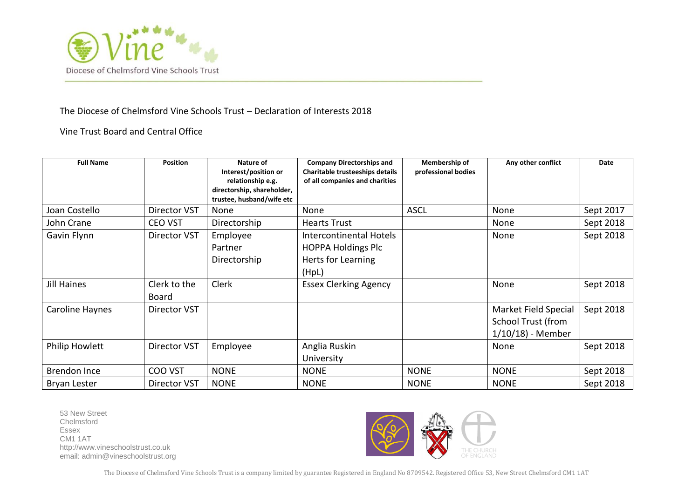

## The Diocese of Chelmsford Vine Schools Trust – Declaration of Interests 2018

Vine Trust Board and Central Office

| <b>Full Name</b>    | <b>Position</b>              | Nature of<br>Interest/position or<br>relationship e.g.<br>directorship, shareholder,<br>trustee, husband/wife etc | <b>Company Directorships and</b><br>Charitable trusteeships details<br>of all companies and charities | Membership of<br>professional bodies | Any other conflict                                                      | Date      |
|---------------------|------------------------------|-------------------------------------------------------------------------------------------------------------------|-------------------------------------------------------------------------------------------------------|--------------------------------------|-------------------------------------------------------------------------|-----------|
| Joan Costello       | Director VST                 | None                                                                                                              | None                                                                                                  | <b>ASCL</b>                          | None                                                                    | Sept 2017 |
| John Crane          | <b>CEO VST</b>               | Directorship                                                                                                      | <b>Hearts Trust</b>                                                                                   |                                      | None                                                                    | Sept 2018 |
| Gavin Flynn         | Director VST                 | Employee<br>Partner<br>Directorship                                                                               | Intercontinental Hotels<br><b>HOPPA Holdings Plc</b><br>Herts for Learning<br>(HpL)                   |                                      | None                                                                    | Sept 2018 |
| Jill Haines         | Clerk to the<br><b>Board</b> | Clerk                                                                                                             | <b>Essex Clerking Agency</b>                                                                          |                                      | None                                                                    | Sept 2018 |
| Caroline Haynes     | Director VST                 |                                                                                                                   |                                                                                                       |                                      | Market Field Special<br><b>School Trust (from</b><br>$1/10/18$ - Member | Sept 2018 |
| Philip Howlett      | <b>Director VST</b>          | Employee                                                                                                          | Anglia Ruskin<br>University                                                                           |                                      | None                                                                    | Sept 2018 |
| Brendon Ince        | COO VST                      | <b>NONE</b>                                                                                                       | <b>NONE</b>                                                                                           | <b>NONE</b>                          | <b>NONE</b>                                                             | Sept 2018 |
| <b>Bryan Lester</b> | Director VST                 | <b>NONE</b>                                                                                                       | <b>NONE</b>                                                                                           | <b>NONE</b>                          | <b>NONE</b>                                                             | Sept 2018 |

53 New Street Chelmsford Essex CM1 1AT [http://www.vineschoolstrust.co.uk](http://www.vineschoolstrust.co.uk/) email: admin@vineschoolstrust.org



The Diocese of Chelmsford Vine Schools Trust is a company limited by guarantee Registered in England No 8709542. Registered Office 53, New Street Chelmsford CM1 1AT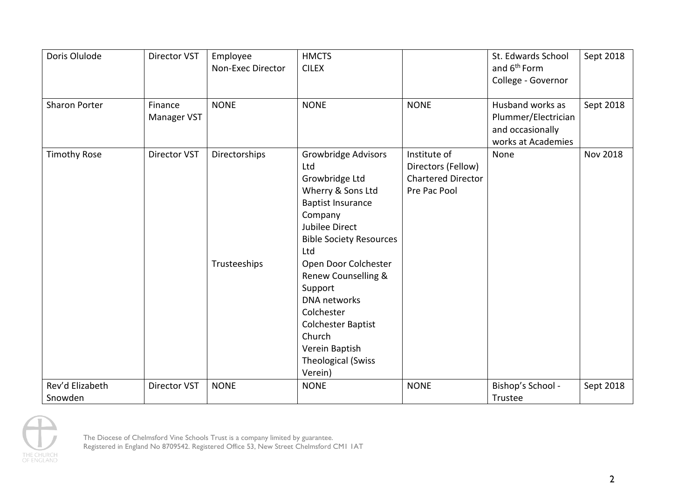| Doris Olulode              | <b>Director VST</b>    | Employee<br>Non-Exec Director | <b>HMCTS</b><br><b>CILEX</b>                                                                                                                                                                                                                                                                                                                                               |                                                                                 | St. Edwards School<br>and 6 <sup>th</sup> Form<br>College - Governor              | Sept 2018       |
|----------------------------|------------------------|-------------------------------|----------------------------------------------------------------------------------------------------------------------------------------------------------------------------------------------------------------------------------------------------------------------------------------------------------------------------------------------------------------------------|---------------------------------------------------------------------------------|-----------------------------------------------------------------------------------|-----------------|
| <b>Sharon Porter</b>       | Finance<br>Manager VST | <b>NONE</b>                   | <b>NONE</b>                                                                                                                                                                                                                                                                                                                                                                | <b>NONE</b>                                                                     | Husband works as<br>Plummer/Electrician<br>and occasionally<br>works at Academies | Sept 2018       |
| <b>Timothy Rose</b>        | Director VST           | Directorships<br>Trusteeships | <b>Growbridge Advisors</b><br>Ltd<br>Growbridge Ltd<br>Wherry & Sons Ltd<br><b>Baptist Insurance</b><br>Company<br>Jubilee Direct<br><b>Bible Society Resources</b><br>Ltd<br>Open Door Colchester<br>Renew Counselling &<br>Support<br><b>DNA</b> networks<br>Colchester<br><b>Colchester Baptist</b><br>Church<br>Verein Baptish<br><b>Theological (Swiss</b><br>Verein) | Institute of<br>Directors (Fellow)<br><b>Chartered Director</b><br>Pre Pac Pool | None                                                                              | <b>Nov 2018</b> |
| Rev'd Elizabeth<br>Snowden | Director VST           | <b>NONE</b>                   | <b>NONE</b>                                                                                                                                                                                                                                                                                                                                                                | <b>NONE</b>                                                                     | Bishop's School -<br>Trustee                                                      | Sept 2018       |



The Diocese of Chelmsford Vine Schools Trust is a company limited by guarantee. Registered in England No 8709542. Registered Office 53, New Street Chelmsford CM1 1AT